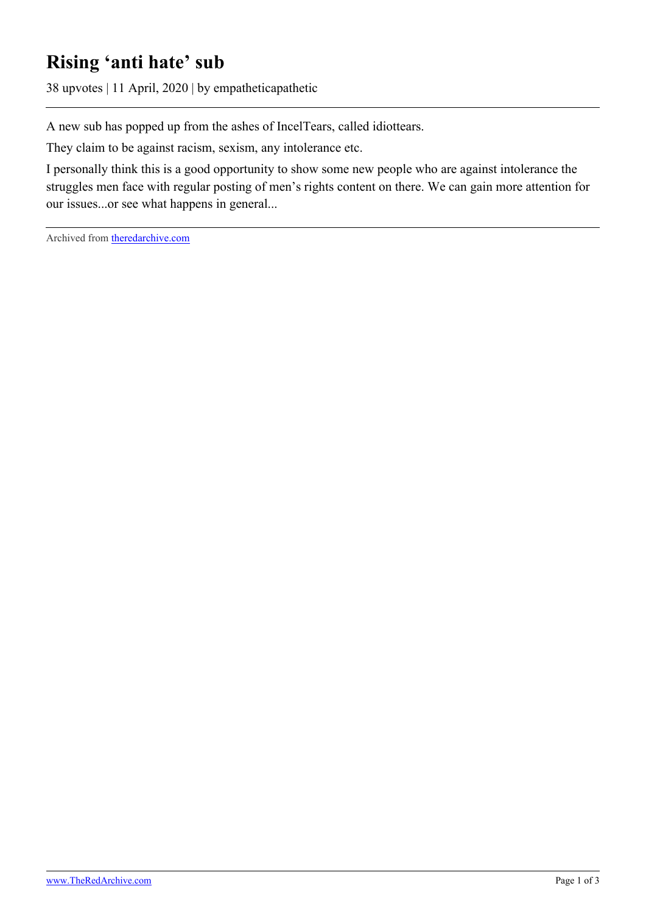## **Rising 'anti hate' sub**

38 upvotes | 11 April, 2020 | by empatheticapathetic

A new sub has popped up from the ashes of IncelTears, called idiottears.

They claim to be against racism, sexism, any intolerance etc.

I personally think this is a good opportunity to show some new people who are against intolerance the struggles men face with regular posting of men's rights content on there. We can gain more attention for our issues...or see what happens in general...

Archived from [theredarchive.com](https://theredarchive.com/r/MensRights/rising-anti-hate-sub.855118)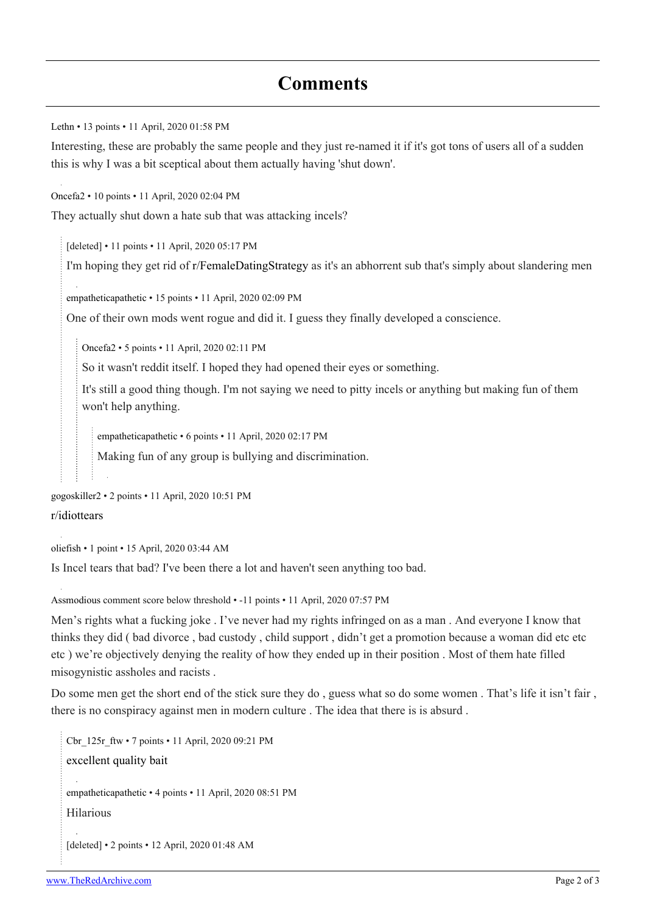[Lethn](https://old.reddit.com/user/Lethn) • 13 points • 11 April, 2020 01:58 PM

Interesting, these are probably the same people and they just re-named it if it's got tons of users all of a sudden this is why I was a bit sceptical about them actually having 'shut down'.

[Oncefa2](https://old.reddit.com/user/Oncefa2) • 10 points • 11 April, 2020 02:04 PM

They actually shut down a hate sub that was attacking incels?

[deleted] • 11 points • 11 April, 2020 05:17 PM

I'm hoping they get rid of [r/FemaleDatingStrategy](https://theredarchive.com/r/FemaleDatingStrategy) as it's an abhorrent sub that's simply about slandering men

[empatheticapathetic](https://old.reddit.com/user/empatheticapathetic) • 15 points • 11 April, 2020 02:09 PM

One of their own mods went rogue and did it. I guess they finally developed a conscience.

[Oncefa2](https://old.reddit.com/user/Oncefa2) • 5 points • 11 April, 2020 02:11 PM

So it wasn't reddit itself. I hoped they had opened their eyes or something.

It's still a good thing though. I'm not saying we need to pitty incels or anything but making fun of them won't help anything.

[empatheticapathetic](https://old.reddit.com/user/empatheticapathetic) • 6 points • 11 April, 2020 02:17 PM

Making fun of any group is bullying and discrimination.

[gogoskiller2](https://old.reddit.com/user/gogoskiller2) • 2 points • 11 April, 2020 10:51 PM [r/idiottears](https://theredarchive.com/r/idiottears)

[oliefish](https://old.reddit.com/user/oliefish) • 1 point • 15 April, 2020 03:44 AM

Is Incel tears that bad? I've been there a lot and haven't seen anything too bad.

[Assmodious](https://old.reddit.com/user/Assmodious) comment score below threshold • -11 points • 11 April, 2020 07:57 PM

Men's rights what a fucking joke . I've never had my rights infringed on as a man . And everyone I know that thinks they did ( bad divorce , bad custody , child support , didn't get a promotion because a woman did etc etc etc ) we're objectively denying the reality of how they ended up in their position . Most of them hate filled misogynistic assholes and racists .

Do some men get the short end of the stick sure they do , guess what so do some women . That's life it isn't fair , there is no conspiracy against men in modern culture . The idea that there is is absurd .

[Cbr\\_125r\\_ftw](https://old.reddit.com/user/Cbr_125r_ftw) • 7 points • 11 April, 2020 09:21 PM [excellent quality bait](https://images.app.goo.gl/TgfWEYHKUAaLnAfA6) [empatheticapathetic](https://old.reddit.com/user/empatheticapathetic) • 4 points • 11 April, 2020 08:51 PM Hilarious [deleted] • 2 points • 12 April, 2020 01:48 AM